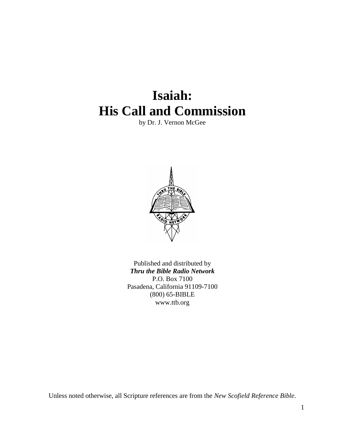# **Isaiah: His Call and Commission**

by Dr. J. Vernon McGee



Published and distributed by *Thru the Bible Radio Network* P.O. Box 7100 Pasadena, California 91109-7100 (800) 65-BIBLE www.ttb.org

Unless noted otherwise, all Scripture references are from the *New Scofield Reference Bible*.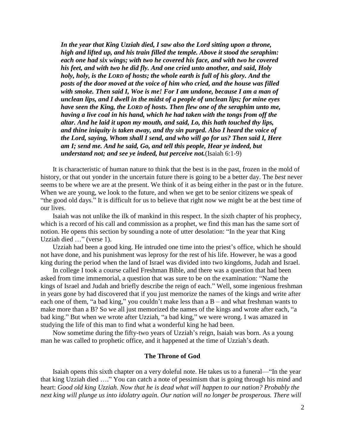*In the year that King Uzziah died, I saw also the Lord sitting upon a throne, high and lifted up, and his train filled the temple. Above it stood the seraphim: each one had six wings; with two he covered his face, and with two he covered his feet, and with two he did fly. And one cried unto another, and said, Holy holy, holy, is the LORD of hosts; the whole earth is full of his glory. And the posts of the door moved at the voice of him who cried, and the house was filled with smoke. Then said I, Woe is me! For I am undone, because I am a man of unclean lips, and I dwell in the midst of a people of unclean lips; for mine eyes have seen the King, the LORD of hosts. Then flew one of the seraphim unto me, having a live coal in his hand, which he had taken with the tongs from off the altar. And he laid it upon my mouth, and said, Lo, this hath touched thy lips, and thine iniquity is taken away, and thy sin purged. Also I heard the voice of the Lord, saying, Whom shall I send, and who will go for us? Then said I, Here am I; send me. And he said, Go, and tell this people, Hear ye indeed, but understand not; and see ye indeed, but perceive not.*(Isaiah 6:1-9)

It is characteristic of human nature to think that the best is in the past, frozen in the mold of history, or that out yonder in the uncertain future there is going to be a better day. The *best* never seems to be where we are at the present. We think of it as being either in the past or in the future. When we are young, we look to the future, and when we get to be senior citizens we speak of "the good old days." It is difficult for us to believe that right now we might be at the best time of our lives.

Isaiah was not unlike the ilk of mankind in this respect. In the sixth chapter of his prophecy, which is a record of his call and commission as a prophet, we find this man has the same sort of notion. He opens this section by sounding a note of utter desolation: "In the year that King Uzziah died …" (verse 1).

Uzziah had been a good king. He intruded one time into the priest's office, which he should not have done, and his punishment was leprosy for the rest of his life. However, he was a good king during the period when the land of Israel was divided into two kingdoms, Judah and Israel.

In college I took a course called Freshman Bible, and there was a question that had been asked from time immemorial, a question that was sure to be on the examination: "Name the kings of Israel and Judah and briefly describe the reign of each." Well, some ingenious freshman in years gone by had discovered that if you just memorize the names of the kings and write after each one of them, "a bad king," you couldn't make less than a B – and what freshman wants to make more than a B? So we all just memorized the names of the kings and wrote after each, "a bad king." But when we wrote after Uzziah, "a bad king," we were wrong. I was amazed in studying the life of this man to find what a wonderful king he had been.

Now sometime during the fifty-two years of Uzziah's reign, Isaiah was born. As a young man he was called to prophetic office, and it happened at the time of Uzziah's death.

#### **The Throne of God**

Isaiah opens this sixth chapter on a very doleful note. He takes us to a funeral—"In the year that king Uzziah died …." You can catch a note of pessimism that is going through his mind and heart: *Good old king Uzziah. Now that he is dead what will happen to our nation? Probably the next king will plunge us into idolatry again. Our nation will no longer be prosperous. There will*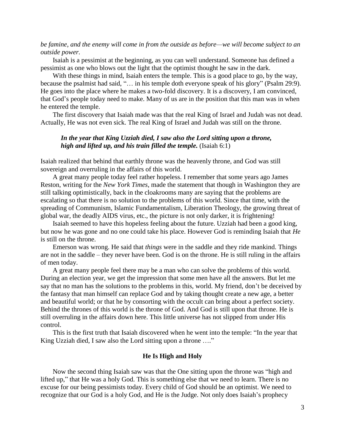## *be famine, and the enemy will come in from the outside as before—we will become subject to an outside power.*

Isaiah is a pessimist at the beginning, as you can well understand. Someone has defined a pessimist as one who blows out the light that the optimist thought he saw in the dark.

With these things in mind, Isaiah enters the temple. This is a good place to go, by the way, because the psalmist had said, "… in his temple doth everyone speak of his glory" (Psalm 29:9). He goes into the place where he makes a two-fold discovery. It is a discovery, I am convinced, that God's people today need to make. Many of us are in the position that this man was in when he entered the temple.

The first discovery that Isaiah made was that the real King of Israel and Judah was not dead. Actually, He was not even sick. The real King of Israel and Judah was still on the throne.

## *In the year that King Uzziah died, I saw also the Lord sitting upon a throne, high and lifted up, and his train filled the temple.* (Isaiah 6:1)

Isaiah realized that behind that earthly throne was the heavenly throne, and God was still sovereign and overruling in the affairs of this world.

A great many people today feel rather hopeless. I remember that some years ago James Reston, writing for the *New York Times*, made the statement that though in Washington they are still talking optimistically, back in the cloakrooms many are saying that the problems are escalating so that there is no solution to the problems of this world. Since that time, with the spreading of Communism, Islamic Fundamentalism, Liberation Theology, the growing threat of global war, the deadly AIDS virus, etc., the picture is not only darker, it is frightening!

Isaiah seemed to have this hopeless feeling about the future. Uzziah had been a good king, but now he was gone and no one could take his place. However God is reminding Isaiah that *He* is still on the throne.

Emerson was wrong. He said that *things* were in the saddle and they ride mankind. Things are not in the saddle – they never have been. God is on the throne. He is still ruling in the affairs of men today.

A great many people feel there may be a man who can solve the problems of this world. During an election year, we get the impression that some men have all the answers. But let me say that no man has the solutions to the problems in this, world. My friend, don't be deceived by the fantasy that man himself can replace God and by taking thought create a new age, a better and beautiful world; or that he by consorting with the occult can bring about a perfect society. Behind the thrones of this world is the throne of God. And God is still upon that throne. He is still overruling in the affairs down here. This little universe has not slipped from under His control.

This is the first truth that Isaiah discovered when he went into the temple: "In the year that King Uzziah died, I saw also the Lord sitting upon a throne ...."

## **He Is High and Holy**

Now the second thing Isaiah saw was that the One sitting upon the throne was "high and lifted up," that He was a holy God. This is something else that we need to learn. There is no excuse for our being pessimists today. Every child of God should be an optimist. We need to recognize that our God is a holy God, and He is the Judge. Not only does Isaiah's prophecy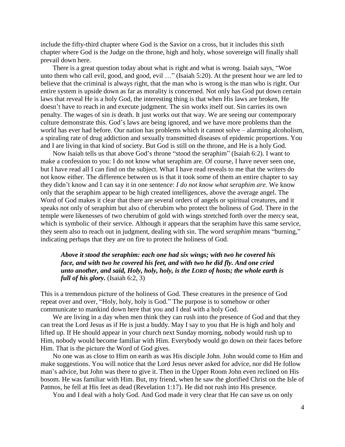include the fifty-third chapter where God is the Savior on a cross, but it includes this sixth chapter where God is the Judge on the throne, high and holy, whose sovereign will finally shall prevail down here.

There is a great question today about what is right and what is wrong. Isaiah says, "Woe unto them who call evil, good, and good, evil ..." (Isaiah 5:20). At the present hour we are led to believe that the criminal is always right, that the man who is wrong is the man who is right. Our entire system is upside down as far as morality is concerned. Not only has God put down certain laws that reveal He is a holy God, the interesting thing is that when His laws are broken, He doesn't have to reach in and execute judgment. The sin works itself out. Sin carries its own penalty. The wages of sin *is* death. It just works out that way. We are seeing our contemporary culture demonstrate this. God's laws are being ignored, and we have more problems than the world has ever had before. Our nation has problems which it cannot solve – alarming alcoholism, a spiraling rate of drug addiction and sexually transmitted diseases of epidemic proportions. You and I are living in that kind of society. But God is still on the throne, and He is a holy God.

Now Isaiah tells us that above God's throne "stood the seraphim" (Isaiah 6:2). I want to make a confession to you: I do not know what seraphim are. Of course, I have never seen one, but I have read all I can find on the subject. What I have read reveals to me that the writers do not know either. The difference between us is that it took some of them an entire chapter to say they didn't know and I can say it in one sentence: *I do not know what seraphim are.* We know only that the seraphim appear to be high created intelligences, above the average angel. The Word of God makes it clear that there are several orders of angels or spiritual creatures, and it speaks not only of seraphim but also of cherubim who protect the holiness of God. There in the temple were likenesses of two cherubim of gold with wings stretched forth over the mercy seat, which is symbolic of their service. Although it appears that the seraphim have this same service, they seem also to reach out in judgment, dealing with sin. The word *seraphim* means "burning," indicating perhaps that they are on fire to protect the holiness of God.

# *Above it stood the seraphim: each one had six wings; with two he covered his face, and with two he covered his feet, and with two he did fly. And one cried unto another, and said, Holy, holy, holy, is the LORD of hosts; the whole earth is full of his glory.* (Isaiah 6:2, 3)

This is a tremendous picture of the holiness of God. These creatures in the presence of God repeat over and over, "Holy, holy, holy is God." The purpose is to somehow or other communicate to mankind down here that you and I deal with a holy God.

We are living in a day when men think they can rush into the presence of God and that they can treat the Lord Jesus as if He is just a buddy. May I say to you that He is high and holy and lifted up. If He should appear in your church next Sunday morning, nobody would rush up to Him, nobody would become familiar with Him. Everybody would go down on their faces before Him. That is the picture the Word of God gives.

No one was as close to Him on earth as was His disciple John. John would come to Him and make suggestions. You will notice that the Lord Jesus never asked for advice, nor did He follow man's advice, but John was there to give it. Then in the Upper Room John even reclined on His bosom. He was familiar with Him. But, my friend, when he saw the glorified Christ on the Isle of Patmos, he fell at His feet as dead (Revelation 1:17). He did not rush into His presence.

You and I deal with a holy God. And God made it very clear that He can save us on only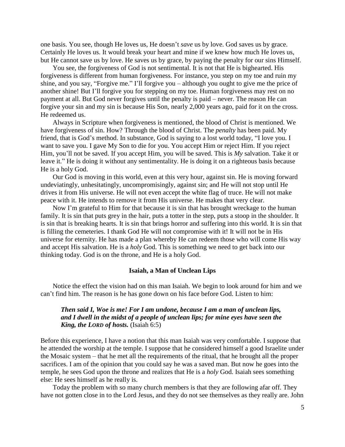one basis. You see, though He loves us, He doesn't *save* us by love. God saves us by grace. Certainly He loves us. It would break your heart and mine if we knew how much He loves us, but He cannot save us by love. He saves us by grace, by paying the penalty for our sins Himself.

You see, the forgiveness of God is not sentimental. It is not that He is bighearted. His forgiveness is different from human forgiveness. For instance, you step on my toe and ruin my shine, and you say, "Forgive me." I'll forgive you – although you ought to give me the price of another shine! But I'll forgive you for stepping on my toe. Human forgiveness may rest on no payment at all. But God never forgives until the penalty is paid – never. The reason He can forgive your sin and my sin is because His Son, nearly 2,000 years ago, paid for it on the cross. He redeemed us.

Always in Scripture when forgiveness is mentioned, the blood of Christ is mentioned. We have forgiveness of sin. How? Through the blood of Christ. The *penalty* has been paid. My friend, that is God's method. In substance, God is saying to a lost world today, "I love you. I want to save you. I gave My Son to die for you. You accept Him or reject Him. If you reject Him, you'll not be saved. If you accept Him, you will be saved. This is *My* salvation. Take it or leave it." He is doing it without any sentimentality. He is doing it on a righteous basis because He is a holy God.

Our God is moving in this world, even at this very hour, against sin. He is moving forward undeviatingly, unhesitatingly, uncompromisingly, against sin; and He will not stop until He drives it from His universe. He will not even accept the white flag of truce. He will not make peace with it. He intends to remove it from His universe. He makes that very clear.

Now I'm grateful to Him for that because it is sin that has brought wreckage to the human family. It is sin that puts grey in the hair, puts a totter in the step, puts a stoop in the shoulder. It is sin that is breaking hearts. It is sin that brings horror and suffering into this world. It is sin that is filling the cemeteries. I thank God He will not compromise with it! It will not be in His universe for eternity. He has made a plan whereby He can redeem those who will come His way and accept His salvation. He is a *holy* God. This is something we need to get back into our thinking today. God is on the throne, and He is a holy God.

#### **Isaiah, a Man of Unclean Lips**

Notice the effect the vision had on this man Isaiah. We begin to look around for him and we can't find him. The reason is he has gone down on his face before God. Listen to him:

# *Then said I, Woe is me! For I am undone, because I am a man of unclean lips, and I dwell in the midst of a people of unclean lips; for mine eyes have seen the King, the LORD of hosts.* (Isaiah 6:5)

Before this experience, I have a notion that this man Isaiah was very comfortable. I suppose that he attended the worship at the temple. I suppose that he considered himself a good Israelite under the Mosaic system – that he met all the requirements of the ritual, that he brought all the proper sacrifices. I am of the opinion that you could say he was a saved man. But now he goes into the temple, he sees God upon the throne and realizes that He is a *holy* God. Isaiah sees something else: He sees himself as he really is.

Today the problem with so many church members is that they are following afar off. They have not gotten close in to the Lord Jesus, and they do not see themselves as they really are. John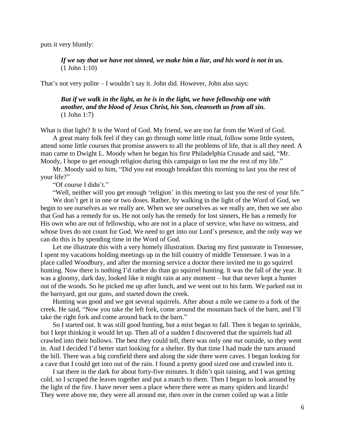puts it very bluntly:

*If we say that we have not sinned, we make him a liar, and his word is not in us.*  (1 John 1:10)

That's not very polite – I wouldn't say it. John did. However, John also says:

## *But if we walk in the light, as he is in the light, we have fellowship one with another, and the blood of Jesus Christ, his Son, cleanseth us from all sin.* (1 John 1:7)

What is that light? It is the Word of God. My friend, we are too far from the Word of God.

A great many folk feel if they can go through some little ritual, follow some little system, attend some little courses that promise answers to all the problems of life, that is all they need. A man came to Dwight L. Moody when he began his first Philadelphia Crusade and said, "Mr. Moody, I hope to get enough religion during this campaign to last me the rest of my life."

Mr. Moody said to him, "Did you eat enough breakfast this morning to last you the rest of your life?"

"Of course I didn't."

"Well, neither will you get enough 'religion' in this meeting to last you the rest of your life." We don't get it in one or two doses. Rather, by walking in the light of the Word of God, we begin to see ourselves as we really are. When we see ourselves as we really are, then we see also that God has a remedy for us. He not only has the remedy for lost sinners, He has a remedy for His own who are out of fellowship, who are not in a place of service, who have no witness, and whose lives do not count for God. We need to get into our Lord's presence, and the only way we can do this is by spending time in the Word of God.

Let me illustrate this with a very homely illustration. During my first pastorate in Tennessee, I spent my vacations holding meetings up in the hill country of middle Tennessee. I was in a place called Woodbury, and after the morning service a doctor there invited me to go squirrel hunting. Now there is nothing I'd rather do than go squirrel hunting. It was the fall of the year. It was a gloomy, dark day, looked like it might rain at any moment – but that never kept a hunter out of the woods. So he picked me up after lunch, and we went out to his farm. We parked out in the barnyard, got our guns, and started down the creek.

Hunting was good and we got several squirrels. After about a mile we came to a fork of the creek. He said, "Now you take the left fork, come around the mountain back of the barn, and I'll take the right fork and come around back to the barn."

So I started out. It was still good hunting, but a mist began to fall. Then it began to sprinkle, but I kept thinking it would let up. Then all of a sudden I discovered that the squirrels had all crawled into their hollows. The best they could tell, there was only one *nut* outside, so they went in. And I decided I'd better start looking for a shelter. By that time I had made the turn around the hill. There was a big cornfield there and along the side there were caves. I began looking for a cave that I could get into out of the rain. I found a pretty good sized one and crawled into it.

I sat there in the dark for about forty-five minutes. It didn't quit raining, and I was getting cold, so I scraped the leaves together and put a match to them. Then I began to look around by the light of the fire. I have never seen a place where there were as many spiders and lizards! They were above me, they were all around me, then over in the corner coiled up was a little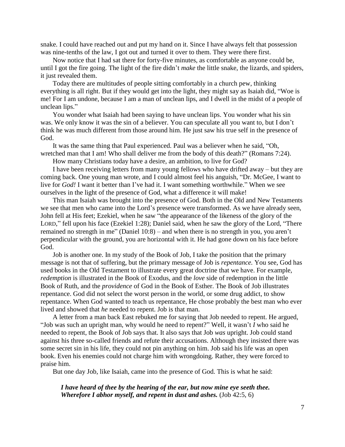snake. I could have reached out and put my hand on it. Since I have always felt that possession was nine-tenths of the law, I got out and turned it over to them. They were there first.

Now notice that I had sat there for forty-five minutes, as comfortable as anyone could be, until I got the fire going. The light of the fire didn't *make* the little snake, the lizards, and spiders, it just revealed them.

Today there are multitudes of people sitting comfortably in a church pew, thinking everything is all right. But if they would get into the light, they might say as Isaiah did, "Woe is me! For I am undone, because I am a man of unclean lips, and I dwell in the midst of a people of unclean lips."

You wonder what Isaiah had been saying to have unclean lips. You wonder what his sin was. We only know it was the sin of a believer. You can speculate all you want to, but I don't think he was much different from those around him. He just saw his true self in the presence of God.

It was the same thing that Paul experienced. Paul was a believer when he said, "Oh, wretched man that I am! Who shall deliver me from the body of this death?" (Romans 7:24).

How many Christians today have a desire, an ambition, to live for God?

I have been receiving letters from many young fellows who have drifted away – but they are coming back. One young man wrote, and I could almost feel his anguish, "Dr. McGee, I want to live for *God!* I want it better than I've had it. I want something worthwhile." When we see ourselves in the light of the presence of God, what a difference it will make!

This man Isaiah was brought into the presence of God. Both in the Old and New Testaments we see that men who came into the Lord's presence were transformed. As we have already seen, John fell at His feet; Ezekiel, when he saw "the appearance of the likeness of the glory of the LORD," fell upon his face (Ezekiel 1:28); Daniel said, when he saw the glory of the Lord, "There remained no strength in me" (Daniel 10:8) – and when there is no strength in you, you aren't perpendicular with the ground, you are horizontal with it. He had gone down on his face before God.

Job is another one. In my study of the Book of Job, I take the position that the primary message is not that of suffering, but the primary message of Job is *repentance.* You see, God has used books in the Old Testament to illustrate every great doctrine that we have. For example, *redemption* is illustrated in the Book of Exodus, and the *love* side of redemption in the little Book of Ruth, and the *providence* of God in the Book of Esther. The Book of Job illustrates repentance. God did not select the worst person in the world, or some drug addict, to show repentance. When God wanted to teach us repentance, He chose probably the best man who ever lived and showed that *he* needed to repent. Job is that man.

A letter from a man back East rebuked me for saying that Job needed to repent. He argued, "Job was such an upright man, why would he need to repent?" Well, it wasn't *I* who said he needed to repent, the Book of Job says that. It also says that Job *was* upright. Job could stand against his three so-called friends and refute their accusations. Although they insisted there was some secret sin in his life, they could not pin anything on him. Job said his life was an open book. Even his enemies could not charge him with wrongdoing. Rather, they were forced to praise him.

But one day Job, like Isaiah, came into the presence of God. This is what he said:

*I have heard of thee by the hearing of the ear, but now mine eye seeth thee. Wherefore I abhor myself, and repent in dust and ashes.* (Job 42:5, 6)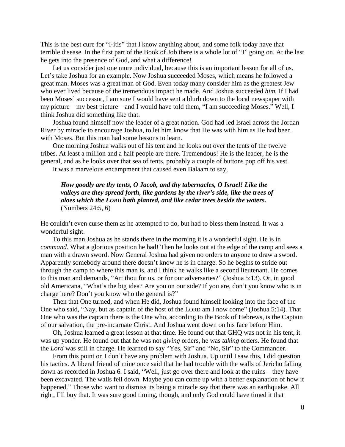This is the best cure for "I-itis" that I know anything about, and some folk today have that terrible disease. In the first part of the Book of Job there is a whole lot of "I" going on. At the last he gets into the presence of God, and what a difference!

Let us consider just one more individual, because this is an important lesson for all of us. Let's take Joshua for an example. Now Joshua succeeded Moses, which means he followed a great man. Moses was a great man of God. Even today many consider him as the greatest Jew who ever lived because of the tremendous impact he made. And Joshua succeeded *him.* If I had been Moses' successor, I am sure I would have sent a blurb down to the local newspaper with my picture – my best picture – and I would have told them, "I am succeeding Moses." Well, I think Joshua did something like that.

Joshua found himself now the leader of a great nation. God had led Israel across the Jordan River by miracle to encourage Joshua, to let him know that He was with him as He had been with Moses. But this man had some lessons to learn.

One morning Joshua walks out of his tent and he looks out over the tents of the twelve tribes. At least a million and a half people are there. Tremendous! He is the leader, he is the general, and as he looks over that sea of tents, probably a couple of buttons pop off his vest.

It was a marvelous encampment that caused even Balaam to say,

# *How goodly are thy tents, O Jacob, and thy tabernacles, O Israel! Like the valleys are they spread forth, like gardens by the river's side, like the trees of aloes which the LORD hath planted, and like cedar trees beside the waters.*  (Numbers 24:5, 6)

He couldn't even curse them as he attempted to do, but had to bless them instead. It was a wonderful sight.

To this man Joshua as he stands there in the morning it is a wonderful sight. He is in *command.* What a glorious position he had! Then he looks out at the edge of the camp and sees a man with a drawn sword. Now General Joshua had given no orders to anyone to draw a sword. Apparently somebody around there doesn't know he is in charge. So he begins to stride out through the camp to where this man is, and I think he walks like a second lieutenant. He comes to this man and demands, "Art thou for us, or for our adversaries?" (Joshua 5:13). Or, in good old Americana, "What's the big idea? Are you on our side? If you are, don't you know who is in charge here? Don't you know who the general is?"

Then that One turned, and when He did, Joshua found himself looking into the face of the One who said, "Nay, but as captain of the host of the LORD am I now come" (Joshua 5:14). That One who was the captain there is the One who, according to the Book of Hebrews, is the Captain of our salvation, the pre-incarnate Christ. And Joshua went down on his face before Him.

Oh, Joshua learned a great lesson at that time. He found out that GHQ was not in his tent, it was up yonder. He found out that he was not *giving* orders, he was *taking* orders. He found that the *Lord* was still in charge. He learned to say "Yes, Sir" and "No, Sir" to the Commander.

From this point on I don't have any problem with Joshua. Up until I saw this, I did question his tactics. A liberal friend of mine once said that he had trouble with the walls of Jericho falling down as recorded in Joshua 6. I said, "Well, just go over there and look at the ruins – they have been excavated. The walls fell down. Maybe you can come up with a better explanation of how it happened." Those who want to dismiss its being a miracle say that there was an earthquake. All right, I'll buy that. It was sure good timing, though, and only God could have timed it that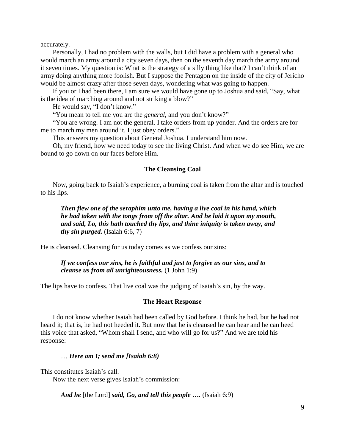accurately.

Personally, I had no problem with the walls, but I did have a problem with a general who would march an army around a city seven days, then on the seventh day march the army around it seven times. My question is: What is the strategy of a silly thing like that? I can't think of an army doing anything more foolish. But I suppose the Pentagon on the inside of the city of Jericho would be almost crazy after those seven days, wondering what was going to happen.

If you or I had been there, I am sure we would have gone up to Joshua and said, "Say, what is the idea of marching around and not striking a blow?"

He would say, "I don't know."

"You mean to tell me you are the *general,* and you don't know?"

"You are wrong. I am not the general. I take orders from up yonder. And the orders are for me to march my men around it. I just obey orders."

This answers my question about General Joshua. I understand him now.

Oh, my friend, how we need today to see the living Christ. And when we do see Him, we are bound to go down on our faces before Him.

### **The Cleansing Coal**

Now, going back to Isaiah's experience, a burning coal is taken from the altar and is touched to his lips.

*Then flew one of the seraphim unto me, having a live coal in his hand, which he had taken with the tongs from off the altar. And he laid it upon my mouth, and said, Lo, this hath touched thy lips, and thine iniquity is taken away, and thy sin purged.* (Isaiah 6:6, 7)

He is cleansed. Cleansing for us today comes as we confess our sins:

## *If we confess our sins, he is faithful and just to forgive us our sins, and to cleanse us from all unrighteousness.* (1 John 1:9)

The lips have to confess. That live coal was the judging of Isaiah's sin, by the way.

#### **The Heart Response**

I do not know whether Isaiah had been called by God before. I think he had, but he had not heard it; that is, he had not heeded it. But now that he is cleansed he can hear and he can heed this voice that asked, "Whom shall I send, and who will go for us?" And we are told his response:

## … *Here am I; send me [Isaiah 6:8)*

This constitutes Isaiah's call.

Now the next verse gives Isaiah's commission:

*And he* [the Lord] *said, Go, and tell this people ….* (Isaiah 6:9)